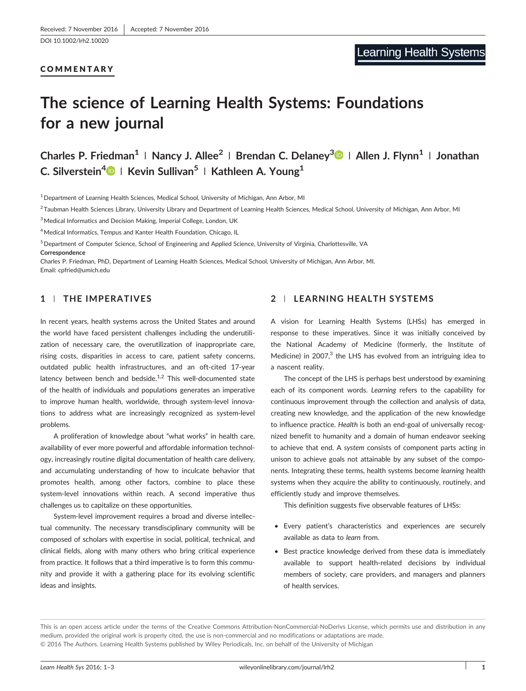#### COMMENTARY

[DOI 10.1002/lrh2.10020](http://doi.org/10.1002/lrh2.10020)

# The science of Learning Health Systems: Foundations for a new journal

Charles P. Friedman<sup>1</sup> | Nancy J. Allee<sup>2</sup> | Brendan C. Delaney<sup>3</sup> | Allen J. Flynn<sup>1</sup> | Jonathan C. Silverstein<sup>[4](http://orcid.org/0000-0002-9252-6039)</sup> | Kevin Sullivan<sup>5</sup> | Kathleen A. Young<sup>1</sup>

1Department of Learning Health Sciences, Medical School, University of Michigan, Ann Arbor, MI

<sup>2</sup>Taubman Health Sciences Library, University Library and Department of Learning Health Sciences, Medical School, University of Michigan, Ann Arbor, MI

<sup>3</sup> Medical Informatics and Decision Making, Imperial College, London, UK

<sup>4</sup> Medical Informatics, Tempus and Kanter Health Foundation, Chicago, IL

<sup>5</sup> Department of Computer Science, School of Engineering and Applied Science, University of Virginia, Charlottesville, VA Correspondence

Charles P. Friedman, PhD, Department of Learning Health Sciences, Medical School, University of Michigan, Ann Arbor, MI. Email: [cpfried@umich.edu](mailto:cpfried@umich.edu)

#### 1 | THE IMPERATIVES

In recent years, health systems across the United States and around the world have faced persistent challenges including the underutilization of necessary care, the overutilization of inappropriate care, rising costs, disparities in access to care, patient safety concerns, outdated public health infrastructures, and an oft‐cited 17‐year latency between bench and bedside. $1,2$  This well-documented state of the health of individuals and populations generates an imperative to improve human health, worldwide, through system‐level innovations to address what are increasingly recognized as system‐level problems.

A proliferation of knowledge about "what works" in health care, availability of ever more powerful and affordable information technology, increasingly routine digital documentation of health care delivery, and accumulating understanding of how to inculcate behavior that promotes health, among other factors, combine to place these system‐level innovations within reach. A second imperative thus challenges us to capitalize on these opportunities.

System‐level improvement requires a broad and diverse intellectual community. The necessary transdisciplinary community will be composed of scholars with expertise in social, political, technical, and clinical fields, along with many others who bring critical experience from practice. It follows that a third imperative is to form this community and provide it with a gathering place for its evolving scientific ideas and insights.

## 2 | LEARNING HEALTH SYSTEMS

A vision for Learning Health Systems (LHSs) has emerged in response to these imperatives. Since it was initially conceived by the National Academy of Medicine (formerly, the Institute of Medicine) in 2007, $3$  the LHS has evolved from an intriguing idea to a nascent reality.

The concept of the LHS is perhaps best understood by examining each of its component words. Learning refers to the capability for continuous improvement through the collection and analysis of data, creating new knowledge, and the application of the new knowledge to influence practice. Health is both an end‐goal of universally recognized benefit to humanity and a domain of human endeavor seeking to achieve that end. A system consists of component parts acting in unison to achieve goals not attainable by any subset of the components. Integrating these terms, health systems become learning health systems when they acquire the ability to continuously, routinely, and efficiently study and improve themselves.

This definition suggests five observable features of LHSs:

- Every patient's characteristics and experiences are securely available as data to learn from.
- Best practice knowledge derived from these data is immediately available to support health‐related decisions by individual members of society, care providers, and managers and planners of health services.

This is an open access article under the terms of the [Creative Commons Attribution](http://creativecommons.org/licenses/by-nc-nd/4.0/)‐NonCommercial‐NoDerivs License, which permits use and distribution in any medium, provided the original work is properly cited, the use is non‐commercial and no modifications or adaptations are made. © 2016 The Authors. Learning Health Systems published by Wiley Periodicals, Inc. on behalf of the University of Michigan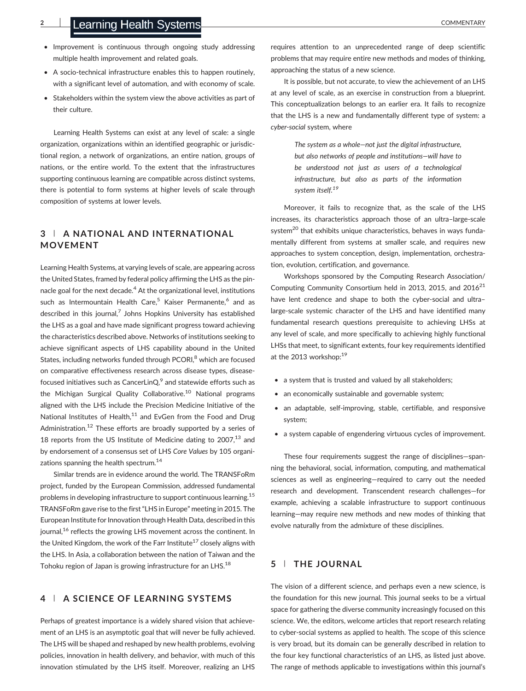- Improvement is continuous through ongoing study addressing multiple health improvement and related goals.
- A socio-technical infrastructure enables this to happen routinely, with a significant level of automation, and with economy of scale.
- Stakeholders within the system view the above activities as part of their culture.

Learning Health Systems can exist at any level of scale: a single organization, organizations within an identified geographic or jurisdictional region, a network of organizations, an entire nation, groups of nations, or the entire world. To the extent that the infrastructures supporting continuous learning are compatible across distinct systems, there is potential to form systems at higher levels of scale through composition of systems at lower levels.

## 3 | A NATIONAL AND INTERNATIONAL MOVEMENT

Learning Health Systems, at varying levels of scale, are appearing across the United States, framed by federal policy affirming the LHS as the pinnacle goal for the next decade.<sup>4</sup> At the organizational level, institutions such as Intermountain Health Care,<sup>5</sup> Kaiser Permanente,<sup>6</sup> and as described in this journal, $^7$  Johns Hopkins University has established the LHS as a goal and have made significant progress toward achieving the characteristics described above. Networks of institutions seeking to achieve significant aspects of LHS capability abound in the United States, including networks funded through PCORI,<sup>8</sup> which are focused on comparative effectiveness research across disease types, disease‐ focused initiatives such as CancerLinQ, $9$  and statewide efforts such as the Michigan Surgical Quality Collaborative.<sup>10</sup> National programs aligned with the LHS include the Precision Medicine Initiative of the National Institutes of Health, $11$  and EvGen from the Food and Drug Administration.<sup>12</sup> These efforts are broadly supported by a series of 18 reports from the US Institute of Medicine dating to  $2007$ ,<sup>13</sup> and by endorsement of a consensus set of LHS Core Values by 105 organizations spanning the health spectrum.<sup>14</sup>

Similar trends are in evidence around the world. The TRANSFoRm project, funded by the European Commission, addressed fundamental problems in developing infrastructure to support continuous learning.<sup>15</sup> TRANSFoRm gave rise to the first"LHS in Europe" meeting in 2015. The European Institute for Innovation through Health Data, described in this journal,<sup>16</sup> reflects the growing LHS movement across the continent. In the United Kingdom, the work of the Farr Institute<sup>17</sup> closely aligns with the LHS. In Asia, a collaboration between the nation of Taiwan and the Tohoku region of Japan is growing infrastructure for an LHS.<sup>18</sup>

#### 4 | A SCIENCE OF LEARNING SYSTEMS

Perhaps of greatest importance is a widely shared vision that achievement of an LHS is an asymptotic goal that will never be fully achieved. The LHS will be shaped and reshaped by new health problems, evolving policies, innovation in health delivery, and behavior, with much of this innovation stimulated by the LHS itself. Moreover, realizing an LHS requires attention to an unprecedented range of deep scientific problems that may require entire new methods and modes of thinking, approaching the status of a new science.

It is possible, but not accurate, to view the achievement of an LHS at any level of scale, as an exercise in construction from a blueprint. This conceptualization belongs to an earlier era. It fails to recognize that the LHS is a new and fundamentally different type of system: a cyber-social system, where

> The system as a whole—not just the digital infrastructure, but also networks of people and institutions—will have to be understood not just as users of a technological infrastructure, but also as parts of the information system itself.<sup>19</sup>

Moreover, it fails to recognize that, as the scale of the LHS increases, its characteristics approach those of an ultra–large‐scale system<sup>20</sup> that exhibits unique characteristics, behaves in ways fundamentally different from systems at smaller scale, and requires new approaches to system conception, design, implementation, orchestration, evolution, certification, and governance.

Workshops sponsored by the Computing Research Association/ Computing Community Consortium held in 2013, 2015, and  $2016^{21}$ have lent credence and shape to both the cyber-social and ultralarge‐scale systemic character of the LHS and have identified many fundamental research questions prerequisite to achieving LHSs at any level of scale, and more specifically to achieving highly functional LHSs that meet, to significant extents, four key requirements identified at the 2013 workshop:<sup>19</sup>

- a system that is trusted and valued by all stakeholders;
- an economically sustainable and governable system;
- an adaptable, self-improving, stable, certifiable, and responsive system;
- a system capable of engendering virtuous cycles of improvement.

These four requirements suggest the range of disciplines—spanning the behavioral, social, information, computing, and mathematical sciences as well as engineering—required to carry out the needed research and development. Transcendent research challenges—for example, achieving a scalable infrastructure to support continuous learning—may require new methods and new modes of thinking that evolve naturally from the admixture of these disciplines.

## 5 | THE JOURNAL

The vision of a different science, and perhaps even a new science, is the foundation for this new journal. This journal seeks to be a virtual space for gathering the diverse community increasingly focused on this science. We, the editors, welcome articles that report research relating to cyber‐social systems as applied to health. The scope of this science is very broad, but its domain can be generally described in relation to the four key functional characteristics of an LHS, as listed just above. The range of methods applicable to investigations within this journal's